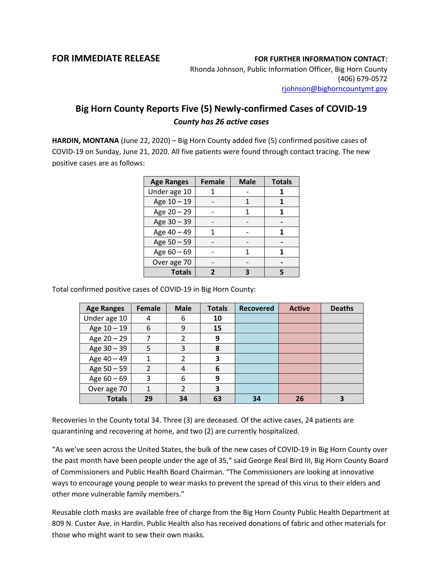## **FOR IMMEDIATE RELEASE FOR FURTHER INFORMATION CONTACT:**

Rhonda Johnson, Public Information Officer, Big Horn County (406) 679-0572 [rjohnson@bighorncountymt.gov](mailto:rjohnson@bighorncountymt.gov)

## **Big Horn County Reports Five (5) Newly-confirmed Cases of COVID-19** *County has 26 active cases*

**HARDIN, MONTANA** (June 22, 2020) – Big Horn County added five (5) confirmed positive cases of COVID-19 on Sunday, June 21, 2020. All five patients were found through contact tracing. The new positive cases are as follows:

| <b>Age Ranges</b> | <b>Female</b> | <b>Male</b> | <b>Totals</b> |  |
|-------------------|---------------|-------------|---------------|--|
| Under age 10      |               |             |               |  |
| Age 10 - 19       |               |             |               |  |
| Age 20 - 29       |               | 1           |               |  |
| Age 30 - 39       |               |             |               |  |
| Age 40 - 49       | 1             |             |               |  |
| Age 50 - 59       |               |             |               |  |
| Age $60 - 69$     |               |             |               |  |
| Over age 70       |               |             |               |  |
| <b>Totals</b>     |               |             | 5             |  |

Total confirmed positive cases of COVID-19 in Big Horn County:

| <b>Age Ranges</b> | <b>Female</b>  | <b>Male</b>   | <b>Totals</b> | <b>Recovered</b> | <b>Active</b> | <b>Deaths</b> |
|-------------------|----------------|---------------|---------------|------------------|---------------|---------------|
| Under age 10      | 4              | 6             | 10            |                  |               |               |
| Age 10 - 19       | 6              | 9             | 15            |                  |               |               |
| Age $20 - 29$     | 7              | 2             | 9             |                  |               |               |
| Age 30 - 39       | 5              | 3             | 8             |                  |               |               |
| Age 40 - 49       | 1              | $\mathcal{P}$ | 3             |                  |               |               |
| Age 50 - 59       | $\mathfrak{D}$ | 4             | 6             |                  |               |               |
| Age $60 - 69$     | 3              | 6             | 9             |                  |               |               |
| Over age 70       | 1              | $\mathcal{P}$ | 3             |                  |               |               |
| <b>Totals</b>     | 29             | 34            | 63            | 34               | 26            |               |

Recoveries in the County total 34. Three (3) are deceased. Of the active cases, 24 patients are quarantining and recovering at home, and two (2) are currently hospitalized.

"As we've seen across the United States, the bulk of the new cases of COVID-19 in Big Horn County over the past month have been people under the age of 35," said George Real Bird III, Big Horn County Board of Commissioners and Public Health Board Chairman. "The Commissioners are looking at innovative ways to encourage young people to wear masks to prevent the spread of this virus to their elders and other more vulnerable family members."

Reusable cloth masks are available free of charge from the Big Horn County Public Health Department at 809 N. Custer Ave. in Hardin. Public Health also has received donations of fabric and other materials for those who might want to sew their own masks.